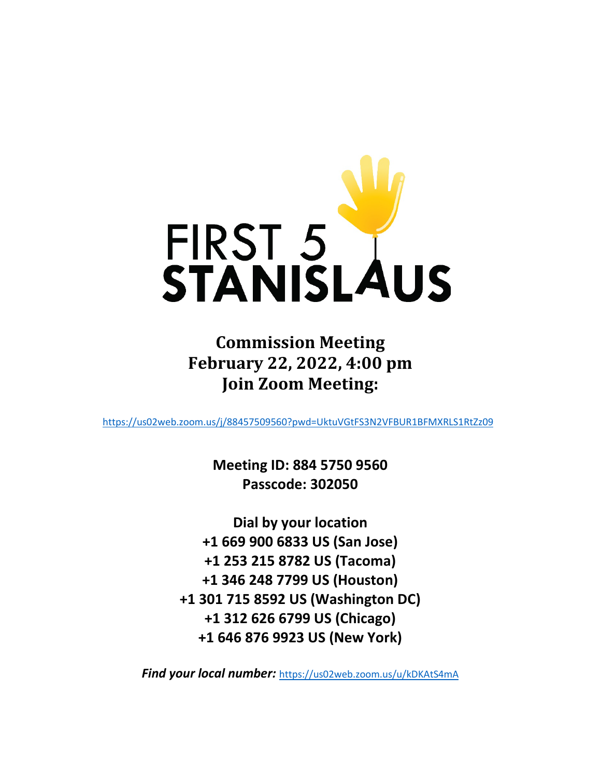

**Commission Meeting February 22, 2022, 4:00 pm Join Zoom Meeting:**

<https://us02web.zoom.us/j/88457509560?pwd=UktuVGtFS3N2VFBUR1BFMXRLS1RtZz09>

**Meeting ID: 884 5750 9560 Passcode: 302050**

**Dial by your location +1 669 900 6833 US (San Jose) +1 253 215 8782 US (Tacoma) +1 346 248 7799 US (Houston) +1 301 715 8592 US (Washington DC) +1 312 626 6799 US (Chicago) +1 646 876 9923 US (New York)**

*Find your local number:* <https://us02web.zoom.us/u/kDKAtS4mA>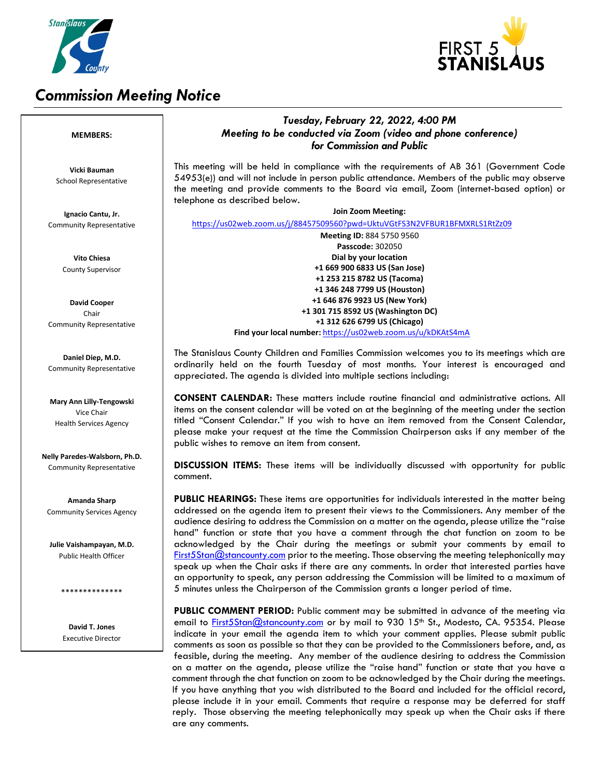

# *Commission Meeting Notice*



### *Tuesday, February 22, 2022, 4:00 PM Meeting to be conducted via Zoom (video and phone conference) for Commission and Public* This meeting will be held in compliance with the requirements of AB 361 (Government Code 54953(e)) and will not include in person public attendance. Members of the public may observe the meeting and provide comments to the Board via email, Zoom (internet-based option) or telephone as described below. **Join Zoom Meeting:** <https://us02web.zoom.us/j/88457509560?pwd=UktuVGtFS3N2VFBUR1BFMXRLS1RtZz09> **Meeting ID:** 884 5750 9560 **Passcode:** 302050 **Dial by your location +1 669 900 6833 US (San Jose) +1 253 215 8782 US (Tacoma) +1 346 248 7799 US (Houston) +1 646 876 9923 US (New York) +1 301 715 8592 US (Washington DC) +1 312 626 6799 US (Chicago) Find your local number:** <https://us02web.zoom.us/u/kDKAtS4mA>

The Stanislaus County Children and Families Commission welcomes you to its meetings which are ordinarily held on the fourth Tuesday of most months. Your interest is encouraged and appreciated. The agenda is divided into multiple sections including:

**CONSENT CALENDAR:** These matters include routine financial and administrative actions. All items on the consent calendar will be voted on at the beginning of the meeting under the section titled "Consent Calendar." If you wish to have an item removed from the Consent Calendar, please make your request at the time the Commission Chairperson asks if any member of the public wishes to remove an item from consent.

**DISCUSSION ITEMS:** These items will be individually discussed with opportunity for public comment.

**PUBLIC HEARINGS:** These items are opportunities for individuals interested in the matter being addressed on the agenda item to present their views to the Commissioners. Any member of the audience desiring to address the Commission on a matter on the agenda, please utilize the "raise hand" function or state that you have a comment through the chat function on zoom to be acknowledged by the Chair during the meetings or submit your comments by email to [First5Stan@stancounty.com](mailto:First5Stan@stancounty.com) prior to the meeting. Those observing the meeting telephonically may speak up when the Chair asks if there are any comments. In order that interested parties have an opportunity to speak, any person addressing the Commission will be limited to a maximum of 5 minutes unless the Chairperson of the Commission grants a longer period of time.

**PUBLIC COMMENT PERIOD:** Public comment may be submitted in advance of the meeting via email to [First5Stan@stancounty.com](mailto:edwardsk@stancounty.com) or by mail to 930 15<sup>th</sup> St., Modesto, CA. 95354. Please indicate in your email the agenda item to which your comment applies. Please submit public comments as soon as possible so that they can be provided to the Commissioners before, and, as feasible, during the meeting. Any member of the audience desiring to address the Commission on a matter on the agenda, please utilize the "raise hand" function or state that you have a comment through the chat function on zoom to be acknowledged by the Chair during the meetings. If you have anything that you wish distributed to the Board and included for the official record, please include it in your email. Comments that require a response may be deferred for staff reply. Those observing the meeting telephonically may speak up when the Chair asks if there are any comments.

#### **MEMBERS:**

**Vicki Bauman** School Representative

**Ignacio Cantu, Jr.** Community Representative

> **Vito Chiesa** County Supervisor

**David Cooper** Chair Community Representative

**Daniel Diep, M.D.** Community Representative

**Mary Ann Lilly-Tengowski** Vice Chair Health Services Agency

**Nelly Paredes-Walsborn, Ph.D.** Community Representative

**Amanda Sharp** Community Services Agency

**Julie Vaishampayan, M.D.** Public Health Officer

\*\*\*\*\*\*\*\*\*\*\*\*\*\*

**David T. Jones** Executive Director